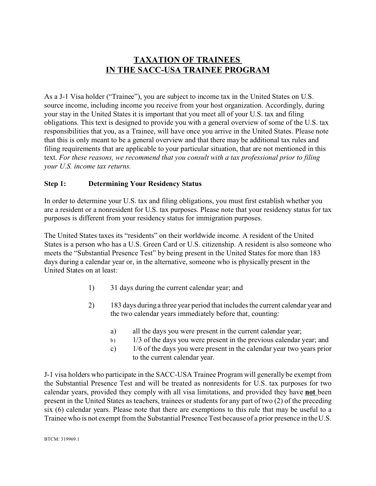# **TAXATION OF TRAINEES IN THE SACC-USA TRAINEE PROGRAM**

As a J-1 Visa holder ("Trainee"), you are subject to income tax in the United States on U.S. source income, including income you receive from your host organization. Accordingly, during your stay in the United States it is important that you meet all of your U.S. tax and filing obligations. This text is designed to provide you with a general overview of some of the U.S. tax responsibilities that you, as a Trainee, will have once you arrive in the United States. Please note that this is only meant to be a general overview and that there may be additional tax rules and filing requirements that are applicable to your particular situation, that are not mentioned in this text. *For these reasons, we recommend that you consult with a tax professional prior to filing your U.S. income tax returns.* 

## **Step 1: Determining Your Residency Status**

In order to determine your U.S. tax and filing obligations, you must first establish whether you are a resident or a nonresident for U.S. tax purposes. Please note that your residency status for tax purposes is different from your residency status for immigration purposes.

The United States taxes its "residents" on their worldwide income. A resident of the United States is a person who has a U.S. Green Card or U.S. citizenship. A resident is also someone who meets the "Substantial Presence Test" by being present in the United States for more than 183 days during a calendar year or, in the alternative, someone who is physically present in the United States on at least:

- 1) 31 days during the current calendar year; and
- 2) 183 days during a three year period that includes the current calendar year and the two calendar years immediately before that, counting:
	- a) all the days you were present in the current calendar year;
	- b) 1/3 of the days you were present in the previous calendar year; and
	- c) 1/6 of the days you were present in the calendar year two years prior to the current calendar year.

J-1 visa holders who participate in the SACC-USA Trainee Program will generally be exempt from the Substantial Presence Test and will be treated as nonresidents for U.S. tax purposes for two calendar years, provided they comply with all visa limitations, and provided they have **not** been present in the United States as teachers, trainees or students for any part of two (2) of the preceding six (6) calendar years. Please note that there are exemptions to this rule that may be useful to a Trainee who is not exempt from the Substantial Presence Test because of a prior presence in the U.S.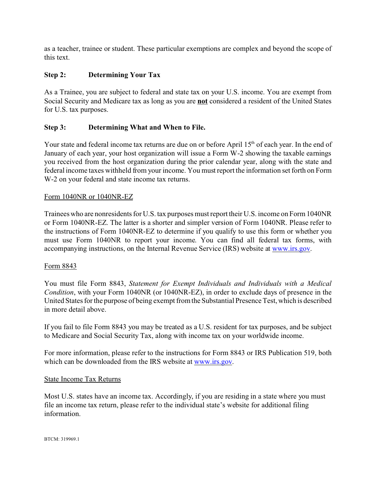as a teacher, trainee or student. These particular exemptions are complex and beyond the scope of this text.

## **Step 2: Determining Your Tax**

As a Trainee, you are subject to federal and state tax on your U.S. income. You are exempt from Social Security and Medicare tax as long as you are **not** considered a resident of the United States for U.S. tax purposes.

## **Step 3: Determining What and When to File.**

Your state and federal income tax returns are due on or before April 15<sup>th</sup> of each year. In the end of January of each year, your host organization will issue a Form W-2 showing the taxable earnings you received from the host organization during the prior calendar year, along with the state and federal income taxes withheld from your income. You must report the information set forth on Form W-2 on your federal and state income tax returns.

#### Form 1040NR or 1040NR-EZ

Trainees who are nonresidents for U.S. tax purposes must report their U.S. income on Form 1040NR or Form 1040NR-EZ. The latter is a shorter and simpler version of Form 1040NR. Please refer to the instructions of Form 1040NR-EZ to determine if you qualify to use this form or whether you must use Form 1040NR to report your income. You can find all federal tax forms, with accompanying instructions, on the Internal Revenue Service (IRS) website at [www.irs.gov](http://www.irs.gov).

#### Form 8843

You must file Form 8843, *Statement for Exempt Individuals and Individuals with a Medical Condition*, with your Form 1040NR (or 1040NR-EZ), in order to exclude days of presence in the United States for the purpose of being exempt from the Substantial Presence Test, which is described in more detail above.

If you fail to file Form 8843 you may be treated as a U.S. resident for tax purposes, and be subject to Medicare and Social Security Tax, along with income tax on your worldwide income.

For more information, please refer to the instructions for Form 8843 or IRS Publication 519, both which can be downloaded from the IRS website at [www.irs.gov](http://www.irs.gov).

#### State Income Tax Returns

Most U.S. states have an income tax. Accordingly, if you are residing in a state where you must file an income tax return, please refer to the individual state's website for additional filing information.